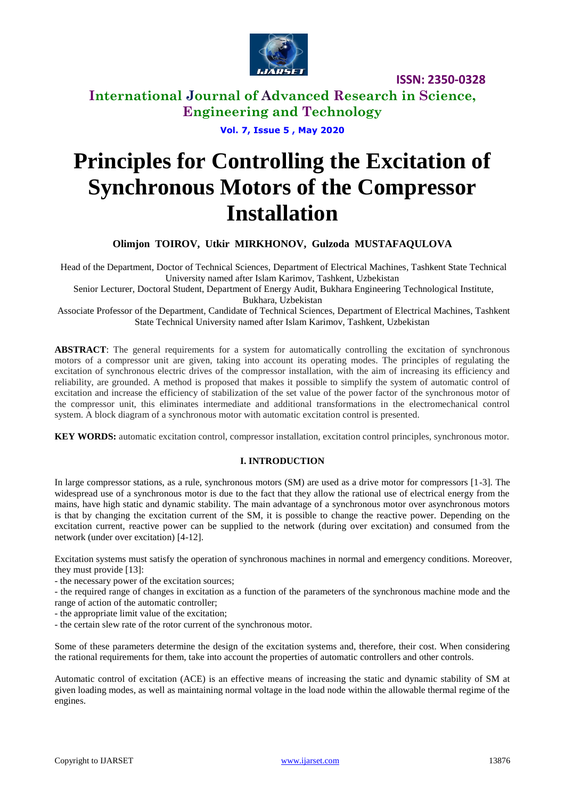

**International Journal of Advanced Research in Science, Engineering and Technology**

**Vol. 7, Issue 5 , May 2020**

# **Principles for Controlling the Excitation of Synchronous Motors of the Compressor Installation**

**Olimjon TOIROV, Utkir MIRKHONOV, Gulzoda MUSTAFAQULOVA**

Head of the Department, Doctor of Technical Sciences, Department of Electrical Machines, Tashkent State Technical University named after Islam Karimov, Tashkent, Uzbekistan

Senior Lecturer, Doctoral Student, Department of Energy Audit, Bukhara Engineering Technological Institute,

Bukhara, Uzbekistan

Associate Professor of the Department, Candidate of Technical Sciences, Department of Electrical Machines, Tashkent State Technical University named after Islam Karimov, Tashkent, Uzbekistan

ABSTRACT: The general requirements for a system for automatically controlling the excitation of synchronous motors of a compressor unit are given, taking into account its operating modes. The principles of regulating the excitation of synchronous electric drives of the compressor installation, with the aim of increasing its efficiency and reliability, are grounded. A method is proposed that makes it possible to simplify the system of automatic control of excitation and increase the efficiency of stabilization of the set value of the power factor of the synchronous motor of the compressor unit, this eliminates intermediate and additional transformations in the electromechanical control system. A block diagram of a synchronous motor with automatic excitation control is presented.

**KEY WORDS:** automatic excitation control, compressor installation, excitation control principles, synchronous motor.

#### **I. INTRODUCTION**

In large compressor stations, as a rule, synchronous motors (SM) are used as a drive motor for compressors [1-3]. The widespread use of a synchronous motor is due to the fact that they allow the rational use of electrical energy from the mains, have high static and dynamic stability. The main advantage of a synchronous motor over asynchronous motors is that by changing the excitation current of the SM, it is possible to change the reactive power. Depending on the excitation current, reactive power can be supplied to the network (during over excitation) and consumed from the network (under over excitation) [4-12].

Excitation systems must satisfy the operation of synchronous machines in normal and emergency conditions. Moreover, they must provide [13]:

- the necessary power of the excitation sources;

- the required range of changes in excitation as a function of the parameters of the synchronous machine mode and the range of action of the automatic controller;

- the appropriate limit value of the excitation;

- the certain slew rate of the rotor current of the synchronous motor.

Some of these parameters determine the design of the excitation systems and, therefore, their cost. When considering the rational requirements for them, take into account the properties of automatic controllers and other controls.

Automatic control of excitation (ACE) is an effective means of increasing the static and dynamic stability of SM at given loading modes, as well as maintaining normal voltage in the load node within the allowable thermal regime of the engines.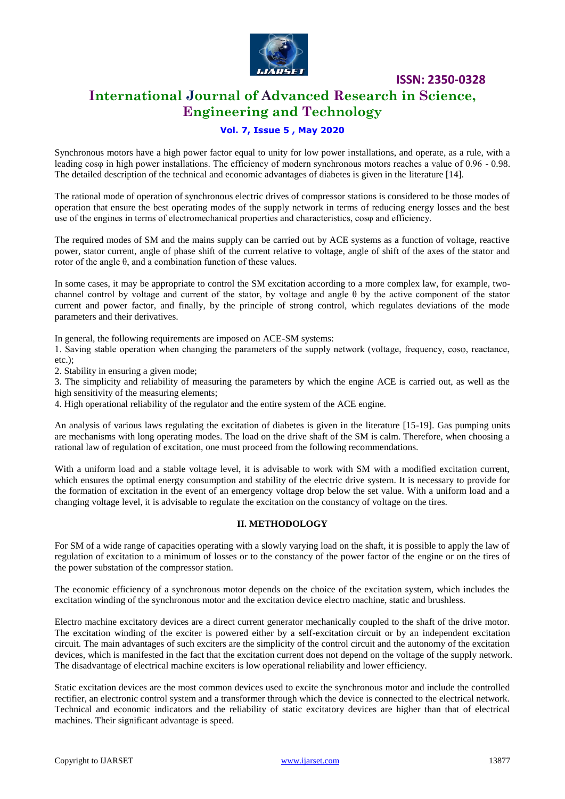

# **International Journal of Advanced Research in Science, Engineering and Technology**

## **Vol. 7, Issue 5 , May 2020**

Synchronous motors have a high power factor equal to unity for low power installations, and operate, as a rule, with a leading cosφ in high power installations. The efficiency of modern synchronous motors reaches a value of 0.96 - 0.98. The detailed description of the technical and economic advantages of diabetes is given in the literature [14].

The rational mode of operation of synchronous electric drives of compressor stations is considered to be those modes of operation that ensure the best operating modes of the supply network in terms of reducing energy losses and the best use of the engines in terms of electromechanical properties and characteristics, cosφ and efficiency.

The required modes of SM and the mains supply can be carried out by ACE systems as a function of voltage, reactive power, stator current, angle of phase shift of the current relative to voltage, angle of shift of the axes of the stator and rotor of the angle  $θ$ , and a combination function of these values.

In some cases, it may be appropriate to control the SM excitation according to a more complex law, for example, twochannel control by voltage and current of the stator, by voltage and angle θ by the active component of the stator current and power factor, and finally, by the principle of strong control, which regulates deviations of the mode parameters and their derivatives.

In general, the following requirements are imposed on ACE-SM systems:

1. Saving stable operation when changing the parameters of the supply network (voltage, frequency, cosφ, reactance, etc.);

2. Stability in ensuring a given mode;

3. The simplicity and reliability of measuring the parameters by which the engine ACE is carried out, as well as the high sensitivity of the measuring elements;

4. High operational reliability of the regulator and the entire system of the ACE engine.

An analysis of various laws regulating the excitation of diabetes is given in the literature [15-19]. Gas pumping units are mechanisms with long operating modes. The load on the drive shaft of the SM is calm. Therefore, when choosing a rational law of regulation of excitation, one must proceed from the following recommendations.

With a uniform load and a stable voltage level, it is advisable to work with SM with a modified excitation current, which ensures the optimal energy consumption and stability of the electric drive system. It is necessary to provide for the formation of excitation in the event of an emergency voltage drop below the set value. With a uniform load and a changing voltage level, it is advisable to regulate the excitation on the constancy of voltage on the tires.

#### **II. METHODOLOGY**

For SM of a wide range of capacities operating with a slowly varying load on the shaft, it is possible to apply the law of regulation of excitation to a minimum of losses or to the constancy of the power factor of the engine or on the tires of the power substation of the compressor station.

The economic efficiency of a synchronous motor depends on the choice of the excitation system, which includes the excitation winding of the synchronous motor and the excitation device electro machine, static and brushless.

Electro machine excitatory devices are a direct current generator mechanically coupled to the shaft of the drive motor. The excitation winding of the exciter is powered either by a self-excitation circuit or by an independent excitation circuit. The main advantages of such exciters are the simplicity of the control circuit and the autonomy of the excitation devices, which is manifested in the fact that the excitation current does not depend on the voltage of the supply network. The disadvantage of electrical machine exciters is low operational reliability and lower efficiency.

Static excitation devices are the most common devices used to excite the synchronous motor and include the controlled rectifier, an electronic control system and a transformer through which the device is connected to the electrical network. Technical and economic indicators and the reliability of static excitatory devices are higher than that of electrical machines. Their significant advantage is speed.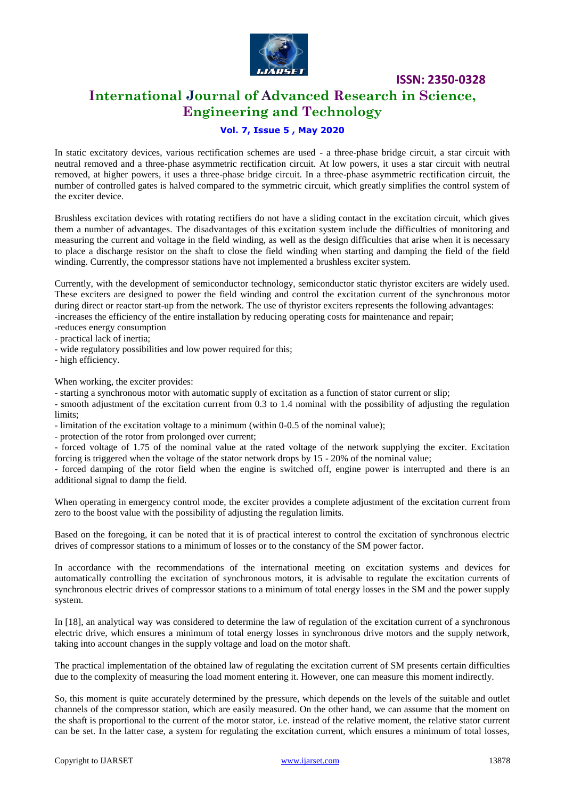

# **International Journal of Advanced Research in Science, Engineering and Technology**

### **Vol. 7, Issue 5 , May 2020**

In static excitatory devices, various rectification schemes are used - a three-phase bridge circuit, a star circuit with neutral removed and a three-phase asymmetric rectification circuit. At low powers, it uses a star circuit with neutral removed, at higher powers, it uses a three-phase bridge circuit. In a three-phase asymmetric rectification circuit, the number of controlled gates is halved compared to the symmetric circuit, which greatly simplifies the control system of the exciter device.

Brushless excitation devices with rotating rectifiers do not have a sliding contact in the excitation circuit, which gives them a number of advantages. The disadvantages of this excitation system include the difficulties of monitoring and measuring the current and voltage in the field winding, as well as the design difficulties that arise when it is necessary to place a discharge resistor on the shaft to close the field winding when starting and damping the field of the field winding. Currently, the compressor stations have not implemented a brushless exciter system.

Currently, with the development of semiconductor technology, semiconductor static thyristor exciters are widely used. These exciters are designed to power the field winding and control the excitation current of the synchronous motor during direct or reactor start-up from the network. The use of thyristor exciters represents the following advantages: -increases the efficiency of the entire installation by reducing operating costs for maintenance and repair;

- -reduces energy consumption
- practical lack of inertia;
- wide regulatory possibilities and low power required for this:
- high efficiency.

When working, the exciter provides:

- starting a synchronous motor with automatic supply of excitation as a function of stator current or slip;

- smooth adjustment of the excitation current from 0.3 to 1.4 nominal with the possibility of adjusting the regulation limits:

- limitation of the excitation voltage to a minimum (within 0-0.5 of the nominal value);

- protection of the rotor from prolonged over current;

- forced voltage of 1.75 of the nominal value at the rated voltage of the network supplying the exciter. Excitation forcing is triggered when the voltage of the stator network drops by 15 - 20% of the nominal value;

- forced damping of the rotor field when the engine is switched off, engine power is interrupted and there is an additional signal to damp the field.

When operating in emergency control mode, the exciter provides a complete adjustment of the excitation current from zero to the boost value with the possibility of adjusting the regulation limits.

Based on the foregoing, it can be noted that it is of practical interest to control the excitation of synchronous electric drives of compressor stations to a minimum of losses or to the constancy of the SM power factor.

In accordance with the recommendations of the international meeting on excitation systems and devices for automatically controlling the excitation of synchronous motors, it is advisable to regulate the excitation currents of synchronous electric drives of compressor stations to a minimum of total energy losses in the SM and the power supply system.

In [18], an analytical way was considered to determine the law of regulation of the excitation current of a synchronous electric drive, which ensures a minimum of total energy losses in synchronous drive motors and the supply network, taking into account changes in the supply voltage and load on the motor shaft.

The practical implementation of the obtained law of regulating the excitation current of SM presents certain difficulties due to the complexity of measuring the load moment entering it. However, one can measure this moment indirectly.

So, this moment is quite accurately determined by the pressure, which depends on the levels of the suitable and outlet channels of the compressor station, which are easily measured. On the other hand, we can assume that the moment on the shaft is proportional to the current of the motor stator, i.e. instead of the relative moment, the relative stator current can be set. In the latter case, a system for regulating the excitation current, which ensures a minimum of total losses,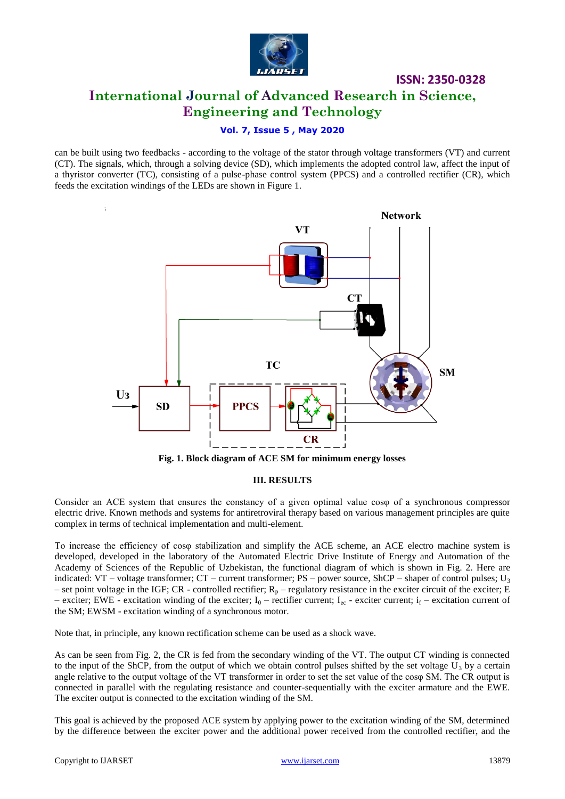

# **International Journal of Advanced Research in Science, Engineering and Technology**

**ISSN: 2350-0328**

### **Vol. 7, Issue 5 , May 2020**

can be built using two feedbacks - according to the voltage of the stator through voltage transformers (VT) and current (CT). The signals, which, through a solving device (SD), which implements the adopted control law, affect the input of a thyristor converter (TC), consisting of a pulse-phase control system (PPCS) and a controlled rectifier (CR), which feeds the excitation windings of the LEDs are shown in Figure 1.



**Fig. 1. Block diagram of ACE SM for minimum energy losses**

#### **III. RESULTS**

Consider an ACE system that ensures the constancy of a given optimal value cosφ of a synchronous compressor electric drive. Known methods and systems for antiretroviral therapy based on various management principles are quite complex in terms of technical implementation and multi-element.

To increase the efficiency of cosφ stabilization and simplify the ACE scheme, an ACE electro machine system is developed, developed in the laboratory of the Automated Electric Drive Institute of Energy and Automation of the Academy of Sciences of the Republic of Uzbekistan, the functional diagram of which is shown in Fig. 2. Here are indicated: VT – voltage transformer; CT – current transformer; PS – power source, ShCP – shaper of control pulses; U<sub>3</sub> – set point voltage in the IGF; CR - controlled rectifier;  $R_p$  – regulatory resistance in the exciter circuit of the exciter; E – exciter; EWE - excitation winding of the exciter;  $I_0$  – rectifier current;  $I_{ec}$  - exciter current;  $i_f$  – excitation current of the SM; EWSM - excitation winding of a synchronous motor.

Note that, in principle, any known rectification scheme can be used as a shock wave.

As can be seen from Fig. 2, the CR is fed from the secondary winding of the VT. The output CT winding is connected to the input of the ShCP, from the output of which we obtain control pulses shifted by the set voltage  $U_3$  by a certain angle relative to the output voltage of the VT transformer in order to set the set value of the cosφ SM. The CR output is connected in parallel with the regulating resistance and counter-sequentially with the exciter armature and the EWE. The exciter output is connected to the excitation winding of the SM.

This goal is achieved by the proposed ACE system by applying power to the excitation winding of the SM, determined by the difference between the exciter power and the additional power received from the controlled rectifier, and the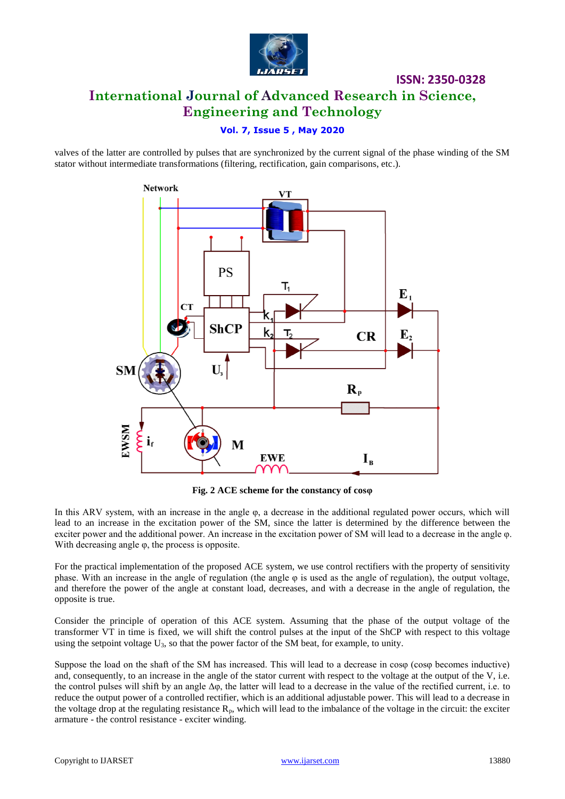

# **ISSN: 2350-0328 International Journal of Advanced Research in Science, Engineering and Technology**

## **Vol. 7, Issue 5 , May 2020**

valves of the latter are controlled by pulses that are synchronized by the current signal of the phase winding of the SM stator without intermediate transformations (filtering, rectification, gain comparisons, etc.).



**Fig. 2 ACE scheme for the constancy of cosφ**

In this ARV system, with an increase in the angle φ, a decrease in the additional regulated power occurs, which will lead to an increase in the excitation power of the SM, since the latter is determined by the difference between the exciter power and the additional power. An increase in the excitation power of SM will lead to a decrease in the angle φ. With decreasing angle φ, the process is opposite.

For the practical implementation of the proposed ACE system, we use control rectifiers with the property of sensitivity phase. With an increase in the angle of regulation (the angle  $\varphi$  is used as the angle of regulation), the output voltage, and therefore the power of the angle at constant load, decreases, and with a decrease in the angle of regulation, the opposite is true.

Consider the principle of operation of this ACE system. Assuming that the phase of the output voltage of the transformer VT in time is fixed, we will shift the control pulses at the input of the ShCP with respect to this voltage using the setpoint voltage  $U_3$ , so that the power factor of the SM beat, for example, to unity.

Suppose the load on the shaft of the SM has increased. This will lead to a decrease in cosφ (cosφ becomes inductive) and, consequently, to an increase in the angle of the stator current with respect to the voltage at the output of the V, i.e. the control pulses will shift by an angle Δφ, the latter will lead to a decrease in the value of the rectified current, i.e. to reduce the output power of a controlled rectifier, which is an additional adjustable power. This will lead to a decrease in the voltage drop at the regulating resistance  $R_p$ , which will lead to the imbalance of the voltage in the circuit: the exciter armature - the control resistance - exciter winding.